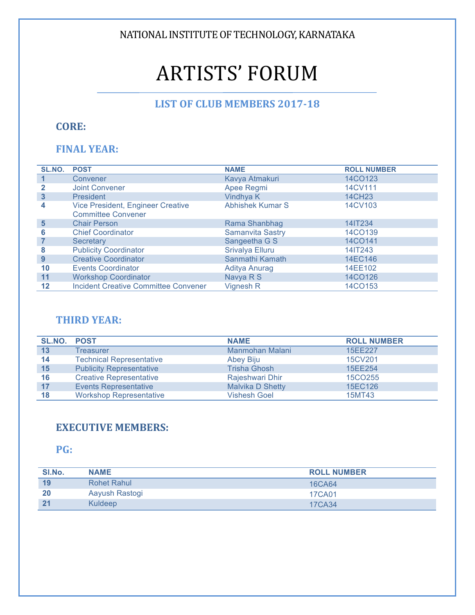NATIONAL INSTITUTE OF TECHNOLOGY, KARNATAKA

# **ARTISTS' FORUM**

# LIST OF CLUB MEMBERS 2017-18

# **CORE:**

# **FINAL YEAR:**

| SL.NO. | <b>POST</b>                                 | <b>NAME</b>             | <b>ROLL NUMBER</b> |
|--------|---------------------------------------------|-------------------------|--------------------|
|        | Convener                                    | Kavya Atmakuri          | 14CO123            |
|        | <b>Joint Convener</b>                       | Apee Regmi              | 14CV111            |
| 3      | <b>President</b>                            | Vindhya K               | <b>14CH23</b>      |
| 4      | Vice President, Engineer Creative           | <b>Abhishek Kumar S</b> | 14CV103            |
|        | <b>Committee Convener</b>                   |                         |                    |
| 5      | <b>Chair Person</b>                         | Rama Shanbhag           | 14IT234            |
| 6      | <b>Chief Coordinator</b>                    | <b>Samanvita Sastry</b> | 14CO139            |
|        | Secretary                                   | Sangeetha G S           | 14CO141            |
| 8      | <b>Publicity Coordinator</b>                | Srivalya Elluru         | 14IT243            |
| 9      | <b>Creative Coordinator</b>                 | Sanmathi Kamath         | 14EC146            |
| 10     | <b>Events Coordinator</b>                   | <b>Aditya Anurag</b>    | 14EE102            |
| 11     | <b>Workshop Coordinator</b>                 | Navya R S               | 14CO126            |
| 12     | <b>Incident Creative Committee Convener</b> | Vignesh <sub>R</sub>    | 14CO153            |

#### **THIRD YEAR:**

| SL.NO. | <b>POST</b>                     | <b>NAME</b>             | <b>ROLL NUMBER</b>  |
|--------|---------------------------------|-------------------------|---------------------|
| 13     | Treasurer                       | Manmohan Malani         | 15EE227             |
| 14     | <b>Technical Representative</b> | Abey Biju               | 15CV201             |
| 15     | <b>Publicity Representative</b> | <b>Trisha Ghosh</b>     | 15EE254             |
| 16     | <b>Creative Representative</b>  | Rajeshwari Dhir         | 15CO <sub>255</sub> |
| 17     | <b>Events Representative</b>    | <b>Malvika D Shetty</b> | 15EC126             |
| 18     | <b>Workshop Representative</b>  | <b>Vishesh Goel</b>     | 15MT43              |

#### **EXECUTIVE MEMBERS:**

### **PG:**

| SI.No.         | <b>NAME</b>    | <b>ROLL NUMBER</b> |
|----------------|----------------|--------------------|
| 19             | Rohet Rahul    | 16CA64             |
| 20             | Aayush Rastogi | 17CA01             |
| 2 <sup>1</sup> | Kuldeep        | 17CA34             |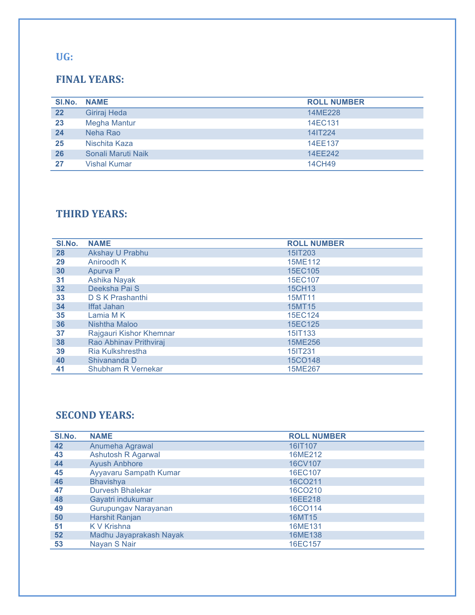#### **UG:**

## **FINAL YEARS:**

| SI.No. | <b>NAME</b>         | <b>ROLL NUMBER</b> |
|--------|---------------------|--------------------|
| 22     | Giriraj Heda        | 14ME228            |
| 23     | <b>Megha Mantur</b> | 14EC131            |
| 24     | Neha Rao            | 14IT224            |
| 25     | Nischita Kaza       | 14EE137            |
| 26     | Sonali Maruti Naik  | 14EE242            |
| 27     | <b>Vishal Kumar</b> | 14CH49             |

## **THIRD YEARS:**

| SI.No. | <b>NAME</b>               | <b>ROLL NUMBER</b> |
|--------|---------------------------|--------------------|
| 28     | Akshay U Prabhu           | 15IT203            |
| 29     | Aniroodh K                | 15ME112            |
| 30     | Apurva P                  | 15EC105            |
| 31     | Ashika Nayak              | 15EC107            |
| 32     | Deeksha Pai S             | 15CH13             |
| 33     | D S K Prashanthi          | 15MT11             |
| 34     | Iffat Jahan               | 15MT15             |
| 35     | Lamia M K                 | 15EC124            |
| 36     | Nishtha Maloo             | 15EC125            |
| 37     | Rajgauri Kishor Khemnar   | 15IT133            |
| 38     | Rao Abhinav Prithviraj    | 15ME256            |
| 39     | Ria Kulkshrestha          | 15IT231            |
| 40     | Shivananda D              | 15CO148            |
| 41     | <b>Shubham R Vernekar</b> | 15ME267            |

### **SECOND YEARS:**

| SI.No. | <b>NAME</b>               | <b>ROLL NUMBER</b> |
|--------|---------------------------|--------------------|
| 42     | Anumeha Agrawal           | 16IT107            |
| 43     | <b>Ashutosh R Agarwal</b> | 16ME212            |
| 44     | <b>Ayush Anbhore</b>      | 16CV107            |
| 45     | Ayyavaru Sampath Kumar    | 16EC107            |
| 46     | <b>Bhavishya</b>          | 16CO211            |
| 47     | Durvesh Bhalekar          | 16CO210            |
| 48     | Gayatri indukumar         | 16EE218            |
| 49     | Gurupungav Narayanan      | 16CO114            |
| 50     | Harshit Ranjan            | 16MT15             |
| 51     | K V Krishna               | 16ME131            |
| 52     | Madhu Jayaprakash Nayak   | 16ME138            |
| 53     | Nayan S Nair              | 16EC157            |